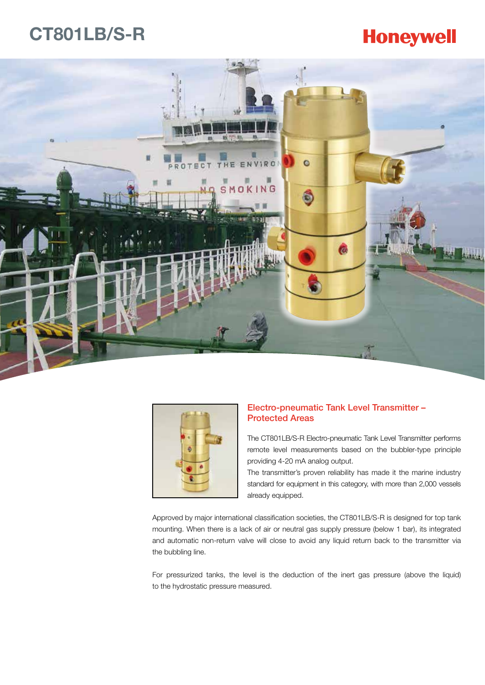### **CT801LB/S-R**

## **Honeywell**





### Electro-pneumatic Tank Level Transmitter – Protected Areas

The CT801LB/S-R Electro-pneumatic Tank Level Transmitter performs remote level measurements based on the bubbler-type principle providing 4-20 mA analog output.

The transmitter's proven reliability has made it the marine industry standard for equipment in this category, with more than 2,000 vessels already equipped.

Approved by major international classification societies, the CT801LB/S-R is designed for top tank mounting. When there is a lack of air or neutral gas supply pressure (below 1 bar), its integrated and automatic non-return valve will close to avoid any liquid return back to the transmitter via the bubbling line.

For pressurized tanks, the level is the deduction of the inert gas pressure (above the liquid) to the hydrostatic pressure measured.